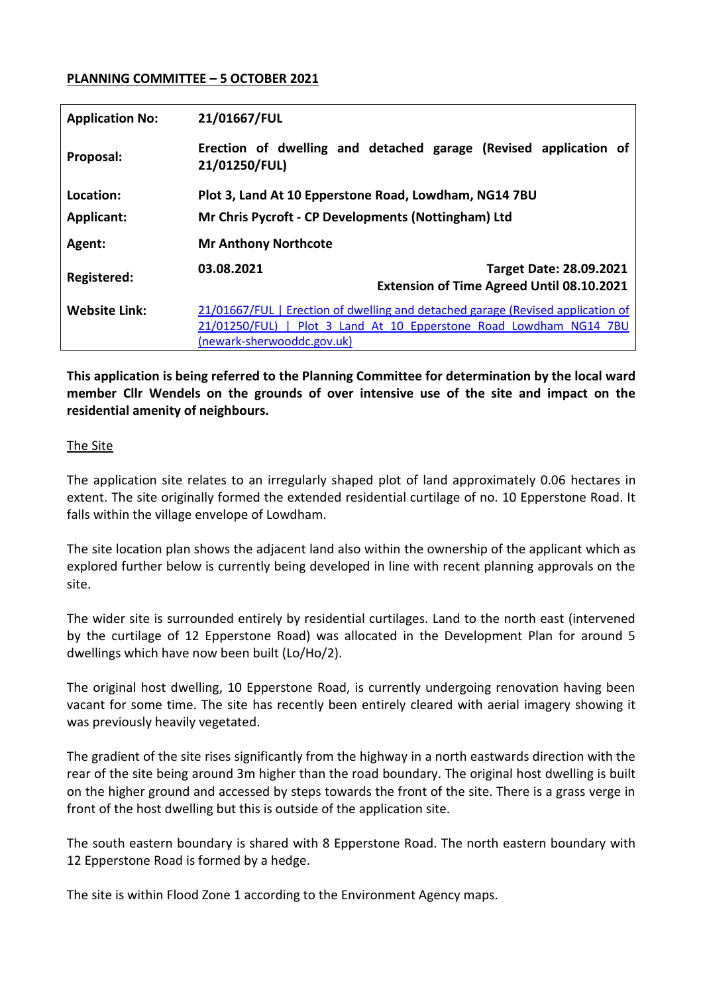### **PLANNING COMMITTEE – 5 OCTOBER 2021**

| <b>Application No:</b>         | 21/01667/FUL                                                                                                                                                                        |
|--------------------------------|-------------------------------------------------------------------------------------------------------------------------------------------------------------------------------------|
| Proposal:                      | Erection of dwelling and detached garage (Revised application of<br>21/01250/FUL)                                                                                                   |
| Location:<br><b>Applicant:</b> | Plot 3, Land At 10 Epperstone Road, Lowdham, NG14 7BU<br>Mr Chris Pycroft - CP Developments (Nottingham) Ltd                                                                        |
| Agent:                         | <b>Mr Anthony Northcote</b>                                                                                                                                                         |
| Registered:                    | 03.08.2021<br><b>Target Date: 28.09.2021</b><br><b>Extension of Time Agreed Until 08.10.2021</b>                                                                                    |
| <b>Website Link:</b>           | 21/01667/FUL   Erection of dwelling and detached garage (Revised application of<br>21/01250/FUL)   Plot 3 Land At 10 Epperstone Road Lowdham NG14 7BU<br>(newark-sherwooddc.gov.uk) |

**This application is being referred to the Planning Committee for determination by the local ward member Cllr Wendels on the grounds of over intensive use of the site and impact on the residential amenity of neighbours.** 

#### The Site

The application site relates to an irregularly shaped plot of land approximately 0.06 hectares in extent. The site originally formed the extended residential curtilage of no. 10 Epperstone Road. It falls within the village envelope of Lowdham.

The site location plan shows the adjacent land also within the ownership of the applicant which as explored further below is currently being developed in line with recent planning approvals on the site.

The wider site is surrounded entirely by residential curtilages. Land to the north east (intervened by the curtilage of 12 Epperstone Road) was allocated in the Development Plan for around 5 dwellings which have now been built (Lo/Ho/2).

The original host dwelling, 10 Epperstone Road, is currently undergoing renovation having been vacant for some time. The site has recently been entirely cleared with aerial imagery showing it was previously heavily vegetated.

The gradient of the site rises significantly from the highway in a north eastwards direction with the rear of the site being around 3m higher than the road boundary. The original host dwelling is built on the higher ground and accessed by steps towards the front of the site. There is a grass verge in front of the host dwelling but this is outside of the application site.

The south eastern boundary is shared with 8 Epperstone Road. The north eastern boundary with 12 Epperstone Road is formed by a hedge.

The site is within Flood Zone 1 according to the Environment Agency maps.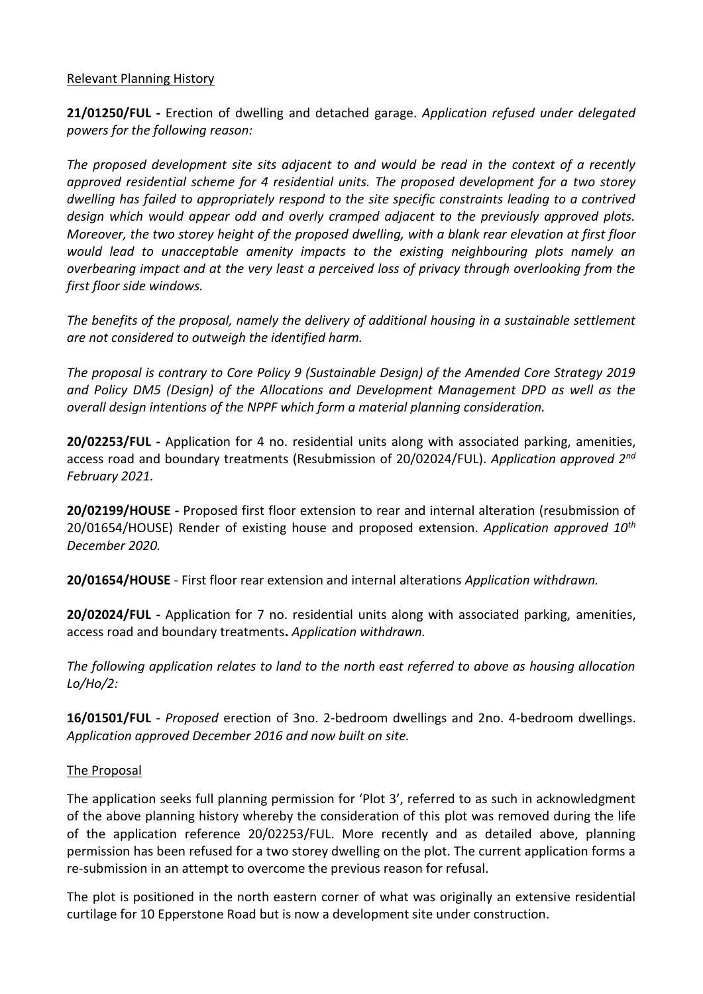#### Relevant Planning History

**21/01250/FUL -** Erection of dwelling and detached garage. *Application refused under delegated powers for the following reason:*

*The proposed development site sits adjacent to and would be read in the context of a recently approved residential scheme for 4 residential units. The proposed development for a two storey dwelling has failed to appropriately respond to the site specific constraints leading to a contrived design which would appear odd and overly cramped adjacent to the previously approved plots. Moreover, the two storey height of the proposed dwelling, with a blank rear elevation at first floor would lead to unacceptable amenity impacts to the existing neighbouring plots namely an overbearing impact and at the very least a perceived loss of privacy through overlooking from the first floor side windows.*

*The benefits of the proposal, namely the delivery of additional housing in a sustainable settlement are not considered to outweigh the identified harm.*

*The proposal is contrary to Core Policy 9 (Sustainable Design) of the Amended Core Strategy 2019 and Policy DM5 (Design) of the Allocations and Development Management DPD as well as the overall design intentions of the NPPF which form a material planning consideration.* 

**20/02253/FUL -** Application for 4 no. residential units along with associated parking, amenities, access road and boundary treatments (Resubmission of 20/02024/FUL). *Application approved 2nd February 2021.* 

**20/02199/HOUSE -** Proposed first floor extension to rear and internal alteration (resubmission of 20/01654/HOUSE) Render of existing house and proposed extension. *Application approved 10th December 2020.* 

**20/01654/HOUSE** - First floor rear extension and internal alterations *Application withdrawn.*

**20/02024/FUL -** Application for 7 no. residential units along with associated parking, amenities, access road and boundary treatments**.** *Application withdrawn.*

*The following application relates to land to the north east referred to above as housing allocation Lo/Ho/2:*

**16/01501/FUL** *- Proposed* erection of 3no. 2-bedroom dwellings and 2no. 4-bedroom dwellings. *Application approved December 2016 and now built on site.* 

## The Proposal

The application seeks full planning permission for 'Plot 3', referred to as such in acknowledgment of the above planning history whereby the consideration of this plot was removed during the life of the application reference 20/02253/FUL. More recently and as detailed above, planning permission has been refused for a two storey dwelling on the plot. The current application forms a re-submission in an attempt to overcome the previous reason for refusal.

The plot is positioned in the north eastern corner of what was originally an extensive residential curtilage for 10 Epperstone Road but is now a development site under construction.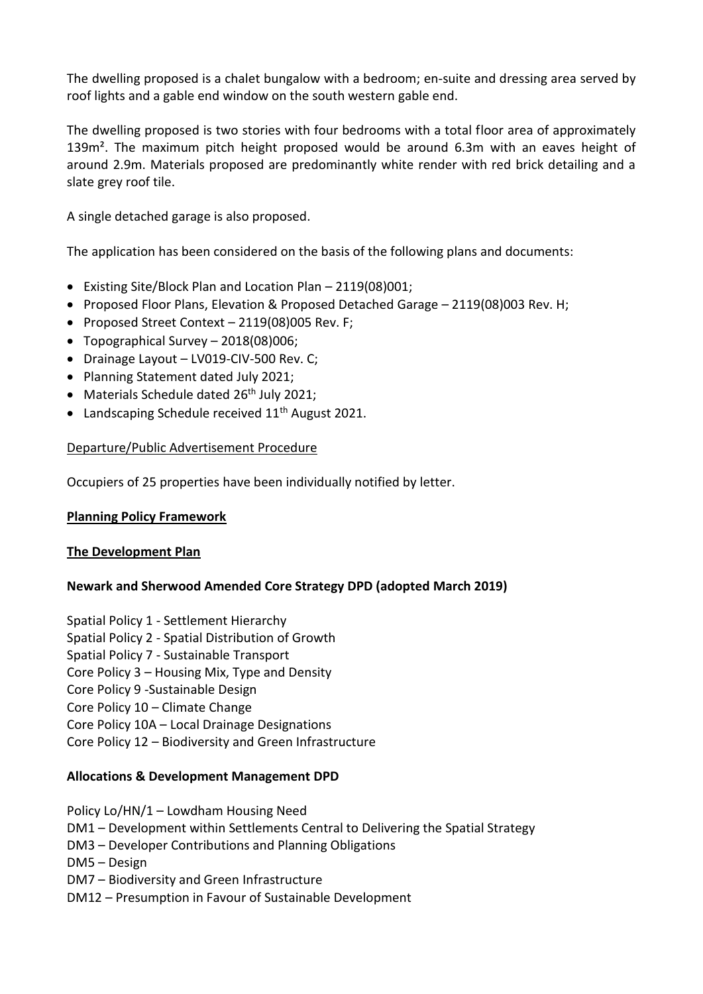The dwelling proposed is a chalet bungalow with a bedroom; en-suite and dressing area served by roof lights and a gable end window on the south western gable end.

The dwelling proposed is two stories with four bedrooms with a total floor area of approximately 139m<sup>2</sup>. The maximum pitch height proposed would be around 6.3m with an eaves height of around 2.9m. Materials proposed are predominantly white render with red brick detailing and a slate grey roof tile.

A single detached garage is also proposed.

The application has been considered on the basis of the following plans and documents:

- Existing Site/Block Plan and Location Plan 2119(08)001;
- Proposed Floor Plans, Elevation & Proposed Detached Garage 2119(08)003 Rev. H;
- Proposed Street Context 2119(08)005 Rev. F;
- Topographical Survey 2018(08)006;
- Drainage Layout LV019-CIV-500 Rev. C;
- Planning Statement dated July 2021;
- Materials Schedule dated  $26<sup>th</sup>$  July 2021:
- Landscaping Schedule received  $11<sup>th</sup>$  August 2021.

#### Departure/Public Advertisement Procedure

Occupiers of 25 properties have been individually notified by letter.

#### **Planning Policy Framework**

#### **The Development Plan**

#### **Newark and Sherwood Amended Core Strategy DPD (adopted March 2019)**

Spatial Policy 1 - Settlement Hierarchy

- Spatial Policy 2 Spatial Distribution of Growth
- Spatial Policy 7 Sustainable Transport
- Core Policy 3 Housing Mix, Type and Density
- Core Policy 9 -Sustainable Design
- Core Policy 10 Climate Change
- Core Policy 10A Local Drainage Designations
- Core Policy 12 Biodiversity and Green Infrastructure

#### **Allocations & Development Management DPD**

Policy Lo/HN/1 – Lowdham Housing Need

- DM1 Development within Settlements Central to Delivering the Spatial Strategy
- DM3 Developer Contributions and Planning Obligations
- DM5 Design
- DM7 Biodiversity and Green Infrastructure
- DM12 Presumption in Favour of Sustainable Development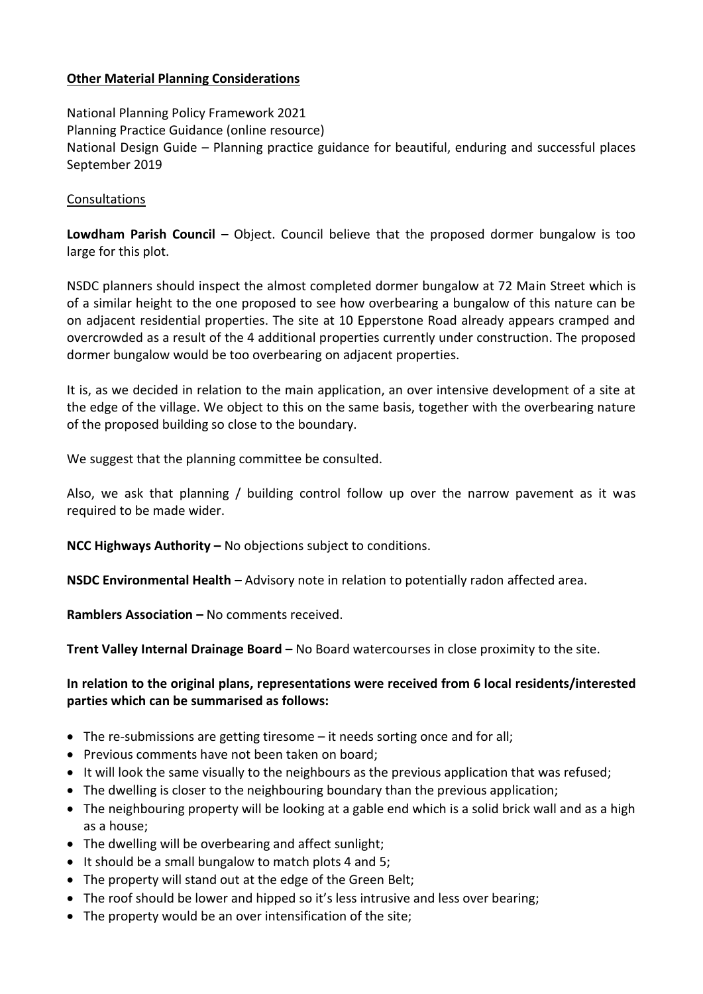## **Other Material Planning Considerations**

National Planning Policy Framework 2021 Planning Practice Guidance (online resource) National Design Guide – Planning practice guidance for beautiful, enduring and successful places September 2019

### **Consultations**

**Lowdham Parish Council –** Object. Council believe that the proposed dormer bungalow is too large for this plot.

NSDC planners should inspect the almost completed dormer bungalow at 72 Main Street which is of a similar height to the one proposed to see how overbearing a bungalow of this nature can be on adjacent residential properties. The site at 10 Epperstone Road already appears cramped and overcrowded as a result of the 4 additional properties currently under construction. The proposed dormer bungalow would be too overbearing on adjacent properties.

It is, as we decided in relation to the main application, an over intensive development of a site at the edge of the village. We object to this on the same basis, together with the overbearing nature of the proposed building so close to the boundary.

We suggest that the planning committee be consulted.

Also, we ask that planning / building control follow up over the narrow pavement as it was required to be made wider.

**NCC Highways Authority –** No objections subject to conditions.

**NSDC Environmental Health –** Advisory note in relation to potentially radon affected area.

**Ramblers Association –** No comments received.

**Trent Valley Internal Drainage Board –** No Board watercourses in close proximity to the site.

## **In relation to the original plans, representations were received from 6 local residents/interested parties which can be summarised as follows:**

- The re-submissions are getting tiresome it needs sorting once and for all;
- Previous comments have not been taken on board;
- It will look the same visually to the neighbours as the previous application that was refused;
- The dwelling is closer to the neighbouring boundary than the previous application;
- The neighbouring property will be looking at a gable end which is a solid brick wall and as a high as a house;
- The dwelling will be overbearing and affect sunlight;
- It should be a small bungalow to match plots 4 and 5;
- The property will stand out at the edge of the Green Belt;
- The roof should be lower and hipped so it's less intrusive and less over bearing;
- The property would be an over intensification of the site;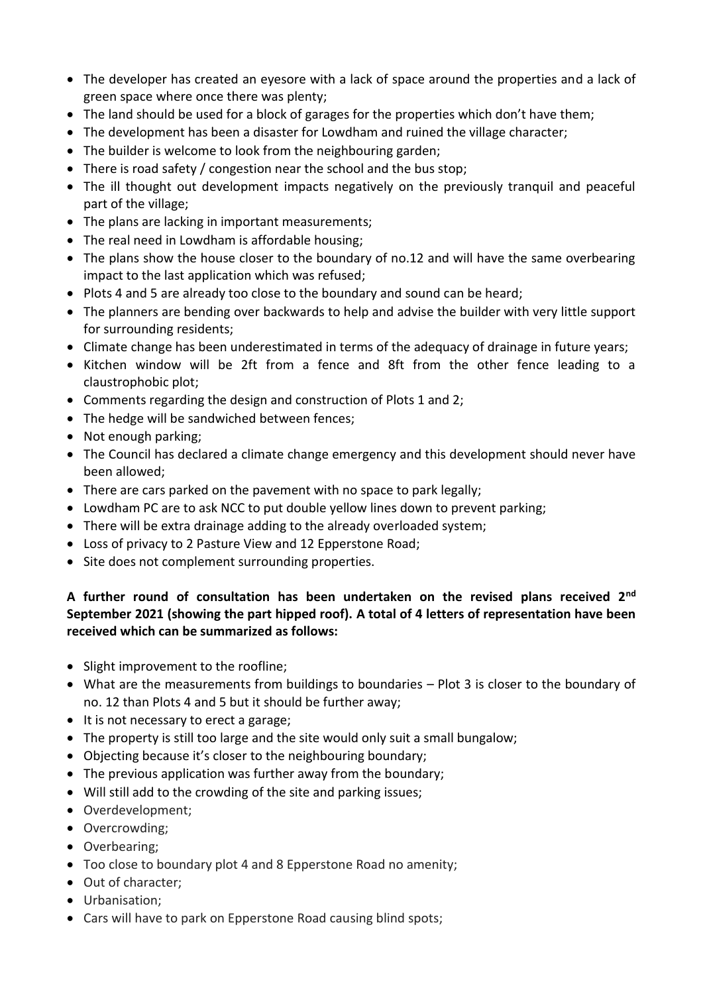- The developer has created an eyesore with a lack of space around the properties and a lack of green space where once there was plenty;
- The land should be used for a block of garages for the properties which don't have them;
- The development has been a disaster for Lowdham and ruined the village character;
- The builder is welcome to look from the neighbouring garden:
- There is road safety / congestion near the school and the bus stop;
- The ill thought out development impacts negatively on the previously tranquil and peaceful part of the village;
- The plans are lacking in important measurements;
- The real need in Lowdham is affordable housing:
- The plans show the house closer to the boundary of no.12 and will have the same overbearing impact to the last application which was refused;
- Plots 4 and 5 are already too close to the boundary and sound can be heard;
- The planners are bending over backwards to help and advise the builder with very little support for surrounding residents;
- Climate change has been underestimated in terms of the adequacy of drainage in future years;
- Kitchen window will be 2ft from a fence and 8ft from the other fence leading to a claustrophobic plot;
- Comments regarding the design and construction of Plots 1 and 2;
- The hedge will be sandwiched between fences;
- Not enough parking;
- The Council has declared a climate change emergency and this development should never have been allowed;
- There are cars parked on the pavement with no space to park legally;
- Lowdham PC are to ask NCC to put double yellow lines down to prevent parking;
- There will be extra drainage adding to the already overloaded system;
- Loss of privacy to 2 Pasture View and 12 Epperstone Road;
- Site does not complement surrounding properties.

# **A further round of consultation has been undertaken on the revised plans received 2nd September 2021 (showing the part hipped roof). A total of 4 letters of representation have been received which can be summarized as follows:**

- Slight improvement to the roofline;
- What are the measurements from buildings to boundaries Plot 3 is closer to the boundary of no. 12 than Plots 4 and 5 but it should be further away;
- It is not necessary to erect a garage;
- The property is still too large and the site would only suit a small bungalow;
- Objecting because it's closer to the neighbouring boundary;
- The previous application was further away from the boundary;
- Will still add to the crowding of the site and parking issues;
- Overdevelopment:
- Overcrowding;
- Overbearing:
- Too close to boundary plot 4 and 8 Epperstone Road no amenity;
- Out of character;
- Urbanisation:
- Cars will have to park on Epperstone Road causing blind spots;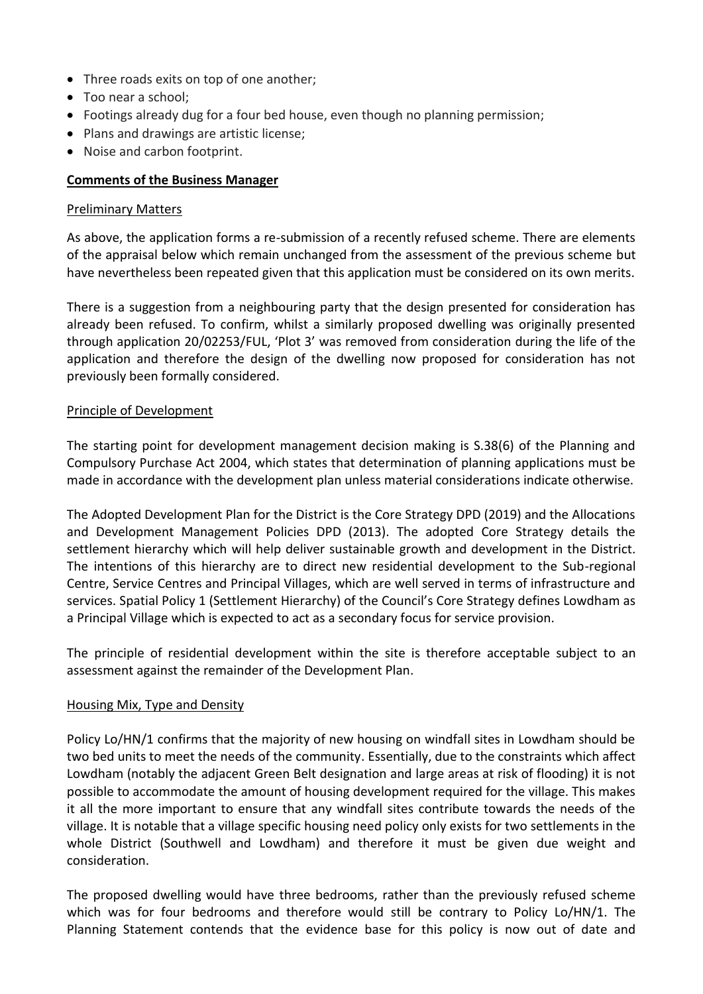- Three roads exits on top of one another;
- Too near a school;
- Footings already dug for a four bed house, even though no planning permission;
- Plans and drawings are artistic license;
- Noise and carbon footprint.

## **Comments of the Business Manager**

#### Preliminary Matters

As above, the application forms a re-submission of a recently refused scheme. There are elements of the appraisal below which remain unchanged from the assessment of the previous scheme but have nevertheless been repeated given that this application must be considered on its own merits.

There is a suggestion from a neighbouring party that the design presented for consideration has already been refused. To confirm, whilst a similarly proposed dwelling was originally presented through application 20/02253/FUL, 'Plot 3' was removed from consideration during the life of the application and therefore the design of the dwelling now proposed for consideration has not previously been formally considered.

### Principle of Development

The starting point for development management decision making is S.38(6) of the Planning and Compulsory Purchase Act 2004, which states that determination of planning applications must be made in accordance with the development plan unless material considerations indicate otherwise.

The Adopted Development Plan for the District is the Core Strategy DPD (2019) and the Allocations and Development Management Policies DPD (2013). The adopted Core Strategy details the settlement hierarchy which will help deliver sustainable growth and development in the District. The intentions of this hierarchy are to direct new residential development to the Sub-regional Centre, Service Centres and Principal Villages, which are well served in terms of infrastructure and services. Spatial Policy 1 (Settlement Hierarchy) of the Council's Core Strategy defines Lowdham as a Principal Village which is expected to act as a secondary focus for service provision.

The principle of residential development within the site is therefore acceptable subject to an assessment against the remainder of the Development Plan.

#### Housing Mix, Type and Density

Policy Lo/HN/1 confirms that the majority of new housing on windfall sites in Lowdham should be two bed units to meet the needs of the community. Essentially, due to the constraints which affect Lowdham (notably the adjacent Green Belt designation and large areas at risk of flooding) it is not possible to accommodate the amount of housing development required for the village. This makes it all the more important to ensure that any windfall sites contribute towards the needs of the village. It is notable that a village specific housing need policy only exists for two settlements in the whole District (Southwell and Lowdham) and therefore it must be given due weight and consideration.

The proposed dwelling would have three bedrooms, rather than the previously refused scheme which was for four bedrooms and therefore would still be contrary to Policy Lo/HN/1. The Planning Statement contends that the evidence base for this policy is now out of date and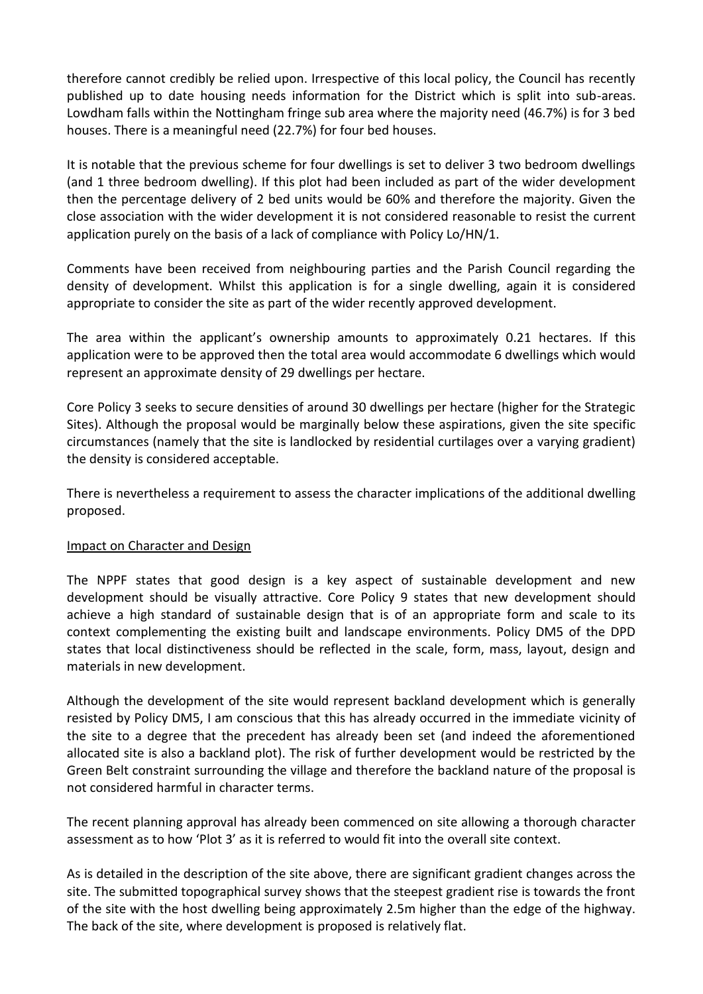therefore cannot credibly be relied upon. Irrespective of this local policy, the Council has recently published up to date housing needs information for the District which is split into sub-areas. Lowdham falls within the Nottingham fringe sub area where the majority need (46.7%) is for 3 bed houses. There is a meaningful need (22.7%) for four bed houses.

It is notable that the previous scheme for four dwellings is set to deliver 3 two bedroom dwellings (and 1 three bedroom dwelling). If this plot had been included as part of the wider development then the percentage delivery of 2 bed units would be 60% and therefore the majority. Given the close association with the wider development it is not considered reasonable to resist the current application purely on the basis of a lack of compliance with Policy Lo/HN/1.

Comments have been received from neighbouring parties and the Parish Council regarding the density of development. Whilst this application is for a single dwelling, again it is considered appropriate to consider the site as part of the wider recently approved development.

The area within the applicant's ownership amounts to approximately 0.21 hectares. If this application were to be approved then the total area would accommodate 6 dwellings which would represent an approximate density of 29 dwellings per hectare.

Core Policy 3 seeks to secure densities of around 30 dwellings per hectare (higher for the Strategic Sites). Although the proposal would be marginally below these aspirations, given the site specific circumstances (namely that the site is landlocked by residential curtilages over a varying gradient) the density is considered acceptable.

There is nevertheless a requirement to assess the character implications of the additional dwelling proposed.

#### Impact on Character and Design

The NPPF states that good design is a key aspect of sustainable development and new development should be visually attractive. Core Policy 9 states that new development should achieve a high standard of sustainable design that is of an appropriate form and scale to its context complementing the existing built and landscape environments. Policy DM5 of the DPD states that local distinctiveness should be reflected in the scale, form, mass, layout, design and materials in new development.

Although the development of the site would represent backland development which is generally resisted by Policy DM5, I am conscious that this has already occurred in the immediate vicinity of the site to a degree that the precedent has already been set (and indeed the aforementioned allocated site is also a backland plot). The risk of further development would be restricted by the Green Belt constraint surrounding the village and therefore the backland nature of the proposal is not considered harmful in character terms.

The recent planning approval has already been commenced on site allowing a thorough character assessment as to how 'Plot 3' as it is referred to would fit into the overall site context.

As is detailed in the description of the site above, there are significant gradient changes across the site. The submitted topographical survey shows that the steepest gradient rise is towards the front of the site with the host dwelling being approximately 2.5m higher than the edge of the highway. The back of the site, where development is proposed is relatively flat.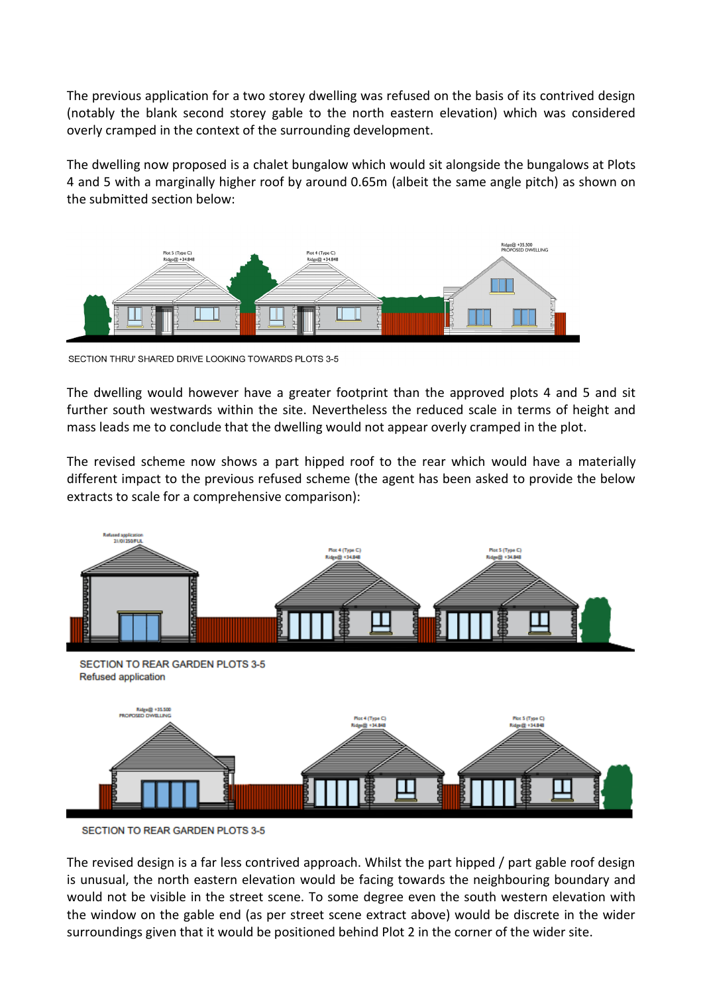The previous application for a two storey dwelling was refused on the basis of its contrived design (notably the blank second storey gable to the north eastern elevation) which was considered overly cramped in the context of the surrounding development.

The dwelling now proposed is a chalet bungalow which would sit alongside the bungalows at Plots 4 and 5 with a marginally higher roof by around 0.65m (albeit the same angle pitch) as shown on the submitted section below:



SECTION THRU' SHARED DRIVE LOOKING TOWARDS PLOTS 3-5

The dwelling would however have a greater footprint than the approved plots 4 and 5 and sit further south westwards within the site. Nevertheless the reduced scale in terms of height and mass leads me to conclude that the dwelling would not appear overly cramped in the plot.

The revised scheme now shows a part hipped roof to the rear which would have a materially different impact to the previous refused scheme (the agent has been asked to provide the below extracts to scale for a comprehensive comparison):





SECTION TO REAR GARDEN PLOTS 3-5

The revised design is a far less contrived approach. Whilst the part hipped / part gable roof design is unusual, the north eastern elevation would be facing towards the neighbouring boundary and would not be visible in the street scene. To some degree even the south western elevation with the window on the gable end (as per street scene extract above) would be discrete in the wider surroundings given that it would be positioned behind Plot 2 in the corner of the wider site.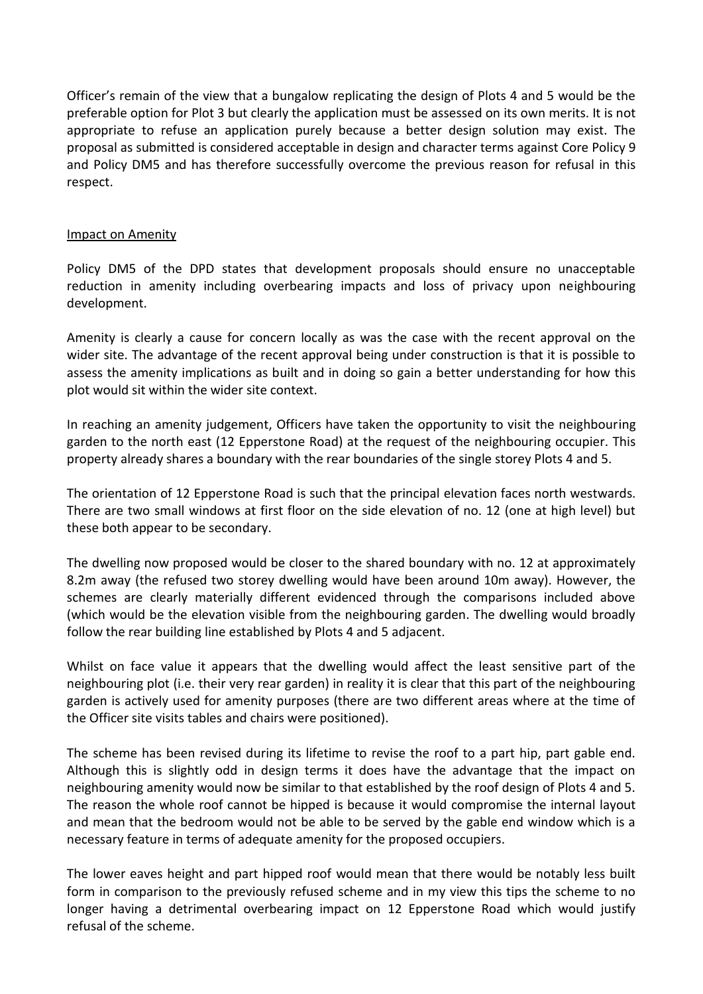Officer's remain of the view that a bungalow replicating the design of Plots 4 and 5 would be the preferable option for Plot 3 but clearly the application must be assessed on its own merits. It is not appropriate to refuse an application purely because a better design solution may exist. The proposal as submitted is considered acceptable in design and character terms against Core Policy 9 and Policy DM5 and has therefore successfully overcome the previous reason for refusal in this respect.

#### Impact on Amenity

Policy DM5 of the DPD states that development proposals should ensure no unacceptable reduction in amenity including overbearing impacts and loss of privacy upon neighbouring development.

Amenity is clearly a cause for concern locally as was the case with the recent approval on the wider site. The advantage of the recent approval being under construction is that it is possible to assess the amenity implications as built and in doing so gain a better understanding for how this plot would sit within the wider site context.

In reaching an amenity judgement, Officers have taken the opportunity to visit the neighbouring garden to the north east (12 Epperstone Road) at the request of the neighbouring occupier. This property already shares a boundary with the rear boundaries of the single storey Plots 4 and 5.

The orientation of 12 Epperstone Road is such that the principal elevation faces north westwards. There are two small windows at first floor on the side elevation of no. 12 (one at high level) but these both appear to be secondary.

The dwelling now proposed would be closer to the shared boundary with no. 12 at approximately 8.2m away (the refused two storey dwelling would have been around 10m away). However, the schemes are clearly materially different evidenced through the comparisons included above (which would be the elevation visible from the neighbouring garden. The dwelling would broadly follow the rear building line established by Plots 4 and 5 adjacent.

Whilst on face value it appears that the dwelling would affect the least sensitive part of the neighbouring plot (i.e. their very rear garden) in reality it is clear that this part of the neighbouring garden is actively used for amenity purposes (there are two different areas where at the time of the Officer site visits tables and chairs were positioned).

The scheme has been revised during its lifetime to revise the roof to a part hip, part gable end. Although this is slightly odd in design terms it does have the advantage that the impact on neighbouring amenity would now be similar to that established by the roof design of Plots 4 and 5. The reason the whole roof cannot be hipped is because it would compromise the internal layout and mean that the bedroom would not be able to be served by the gable end window which is a necessary feature in terms of adequate amenity for the proposed occupiers.

The lower eaves height and part hipped roof would mean that there would be notably less built form in comparison to the previously refused scheme and in my view this tips the scheme to no longer having a detrimental overbearing impact on 12 Epperstone Road which would justify refusal of the scheme.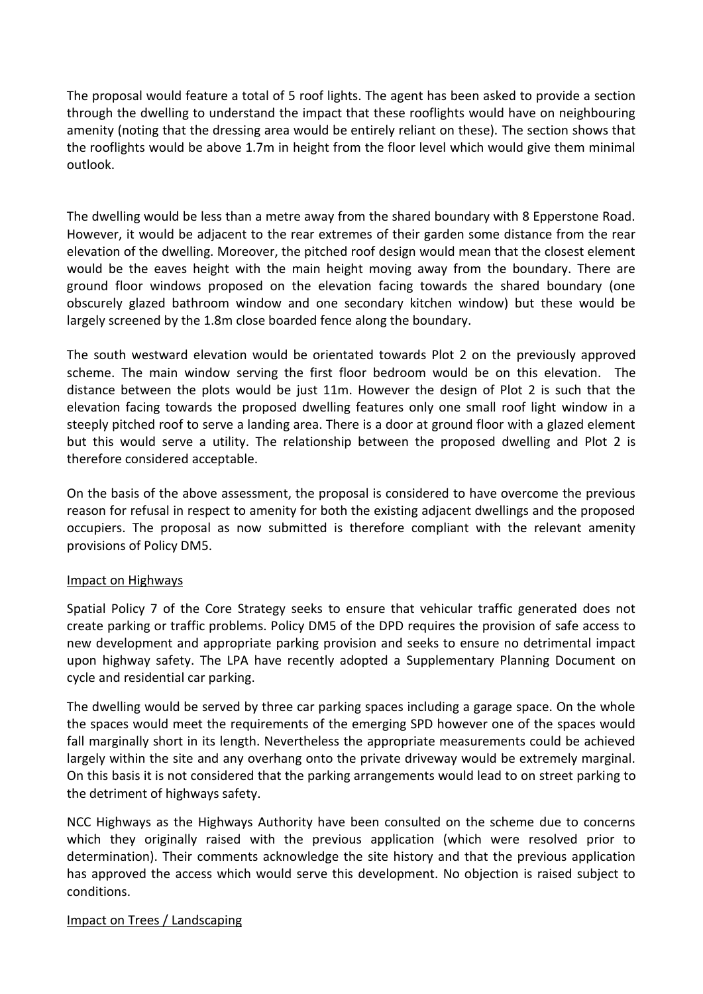The proposal would feature a total of 5 roof lights. The agent has been asked to provide a section through the dwelling to understand the impact that these rooflights would have on neighbouring amenity (noting that the dressing area would be entirely reliant on these). The section shows that the rooflights would be above 1.7m in height from the floor level which would give them minimal outlook.

The dwelling would be less than a metre away from the shared boundary with 8 Epperstone Road. However, it would be adjacent to the rear extremes of their garden some distance from the rear elevation of the dwelling. Moreover, the pitched roof design would mean that the closest element would be the eaves height with the main height moving away from the boundary. There are ground floor windows proposed on the elevation facing towards the shared boundary (one obscurely glazed bathroom window and one secondary kitchen window) but these would be largely screened by the 1.8m close boarded fence along the boundary.

The south westward elevation would be orientated towards Plot 2 on the previously approved scheme. The main window serving the first floor bedroom would be on this elevation. The distance between the plots would be just 11m. However the design of Plot 2 is such that the elevation facing towards the proposed dwelling features only one small roof light window in a steeply pitched roof to serve a landing area. There is a door at ground floor with a glazed element but this would serve a utility. The relationship between the proposed dwelling and Plot 2 is therefore considered acceptable.

On the basis of the above assessment, the proposal is considered to have overcome the previous reason for refusal in respect to amenity for both the existing adjacent dwellings and the proposed occupiers. The proposal as now submitted is therefore compliant with the relevant amenity provisions of Policy DM5.

#### Impact on Highways

Spatial Policy 7 of the Core Strategy seeks to ensure that vehicular traffic generated does not create parking or traffic problems. Policy DM5 of the DPD requires the provision of safe access to new development and appropriate parking provision and seeks to ensure no detrimental impact upon highway safety. The LPA have recently adopted a Supplementary Planning Document on cycle and residential car parking.

The dwelling would be served by three car parking spaces including a garage space. On the whole the spaces would meet the requirements of the emerging SPD however one of the spaces would fall marginally short in its length. Nevertheless the appropriate measurements could be achieved largely within the site and any overhang onto the private driveway would be extremely marginal. On this basis it is not considered that the parking arrangements would lead to on street parking to the detriment of highways safety.

NCC Highways as the Highways Authority have been consulted on the scheme due to concerns which they originally raised with the previous application (which were resolved prior to determination). Their comments acknowledge the site history and that the previous application has approved the access which would serve this development. No objection is raised subject to conditions.

#### Impact on Trees / Landscaping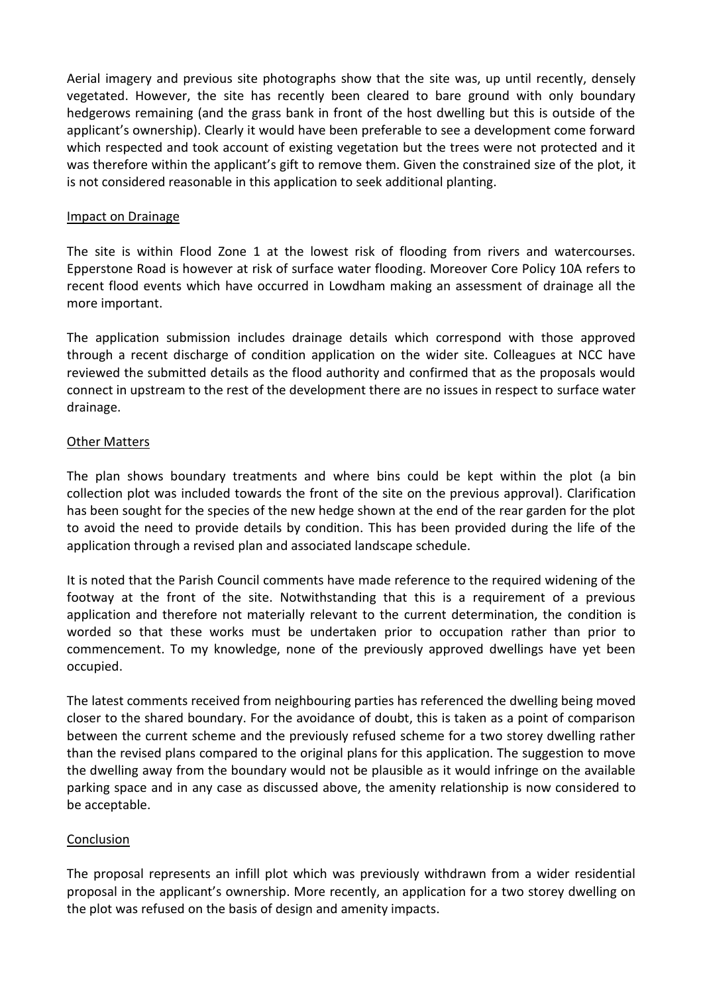Aerial imagery and previous site photographs show that the site was, up until recently, densely vegetated. However, the site has recently been cleared to bare ground with only boundary hedgerows remaining (and the grass bank in front of the host dwelling but this is outside of the applicant's ownership). Clearly it would have been preferable to see a development come forward which respected and took account of existing vegetation but the trees were not protected and it was therefore within the applicant's gift to remove them. Given the constrained size of the plot, it is not considered reasonable in this application to seek additional planting.

#### Impact on Drainage

The site is within Flood Zone 1 at the lowest risk of flooding from rivers and watercourses. Epperstone Road is however at risk of surface water flooding. Moreover Core Policy 10A refers to recent flood events which have occurred in Lowdham making an assessment of drainage all the more important.

The application submission includes drainage details which correspond with those approved through a recent discharge of condition application on the wider site. Colleagues at NCC have reviewed the submitted details as the flood authority and confirmed that as the proposals would connect in upstream to the rest of the development there are no issues in respect to surface water drainage.

### Other Matters

The plan shows boundary treatments and where bins could be kept within the plot (a bin collection plot was included towards the front of the site on the previous approval). Clarification has been sought for the species of the new hedge shown at the end of the rear garden for the plot to avoid the need to provide details by condition. This has been provided during the life of the application through a revised plan and associated landscape schedule.

It is noted that the Parish Council comments have made reference to the required widening of the footway at the front of the site. Notwithstanding that this is a requirement of a previous application and therefore not materially relevant to the current determination, the condition is worded so that these works must be undertaken prior to occupation rather than prior to commencement. To my knowledge, none of the previously approved dwellings have yet been occupied.

The latest comments received from neighbouring parties has referenced the dwelling being moved closer to the shared boundary. For the avoidance of doubt, this is taken as a point of comparison between the current scheme and the previously refused scheme for a two storey dwelling rather than the revised plans compared to the original plans for this application. The suggestion to move the dwelling away from the boundary would not be plausible as it would infringe on the available parking space and in any case as discussed above, the amenity relationship is now considered to be acceptable.

## **Conclusion**

The proposal represents an infill plot which was previously withdrawn from a wider residential proposal in the applicant's ownership. More recently, an application for a two storey dwelling on the plot was refused on the basis of design and amenity impacts.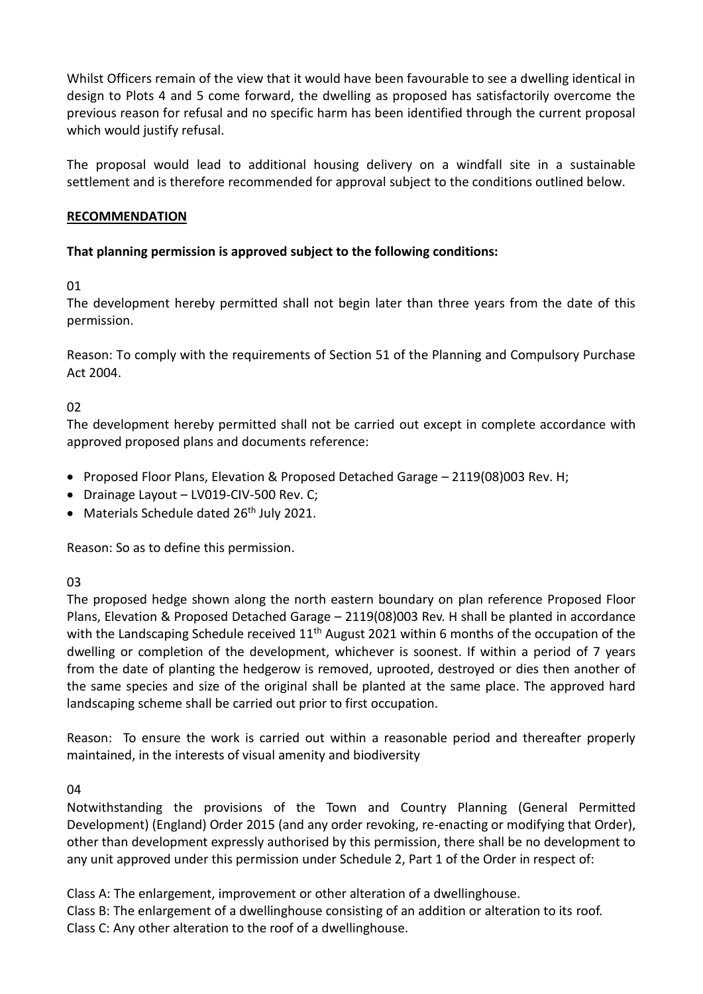Whilst Officers remain of the view that it would have been favourable to see a dwelling identical in design to Plots 4 and 5 come forward, the dwelling as proposed has satisfactorily overcome the previous reason for refusal and no specific harm has been identified through the current proposal which would justify refusal.

The proposal would lead to additional housing delivery on a windfall site in a sustainable settlement and is therefore recommended for approval subject to the conditions outlined below.

### **RECOMMENDATION**

## **That planning permission is approved subject to the following conditions:**

01

The development hereby permitted shall not begin later than three years from the date of this permission.

Reason: To comply with the requirements of Section 51 of the Planning and Compulsory Purchase Act 2004.

02

The development hereby permitted shall not be carried out except in complete accordance with approved proposed plans and documents reference:

- Proposed Floor Plans, Elevation & Proposed Detached Garage 2119(08)003 Rev. H;
- Drainage Layout LV019-CIV-500 Rev. C;
- Materials Schedule dated 26<sup>th</sup> July 2021.

Reason: So as to define this permission.

03

The proposed hedge shown along the north eastern boundary on plan reference Proposed Floor Plans, Elevation & Proposed Detached Garage – 2119(08)003 Rev. H shall be planted in accordance with the Landscaping Schedule received 11<sup>th</sup> August 2021 within 6 months of the occupation of the dwelling or completion of the development, whichever is soonest. If within a period of 7 years from the date of planting the hedgerow is removed, uprooted, destroyed or dies then another of the same species and size of the original shall be planted at the same place. The approved hard landscaping scheme shall be carried out prior to first occupation.

Reason: To ensure the work is carried out within a reasonable period and thereafter properly maintained, in the interests of visual amenity and biodiversity

04

Notwithstanding the provisions of the Town and Country Planning (General Permitted Development) (England) Order 2015 (and any order revoking, re-enacting or modifying that Order), other than development expressly authorised by this permission, there shall be no development to any unit approved under this permission under Schedule 2, Part 1 of the Order in respect of:

Class A: The enlargement, improvement or other alteration of a dwellinghouse. Class B: The enlargement of a dwellinghouse consisting of an addition or alteration to its roof. Class C: Any other alteration to the roof of a dwellinghouse.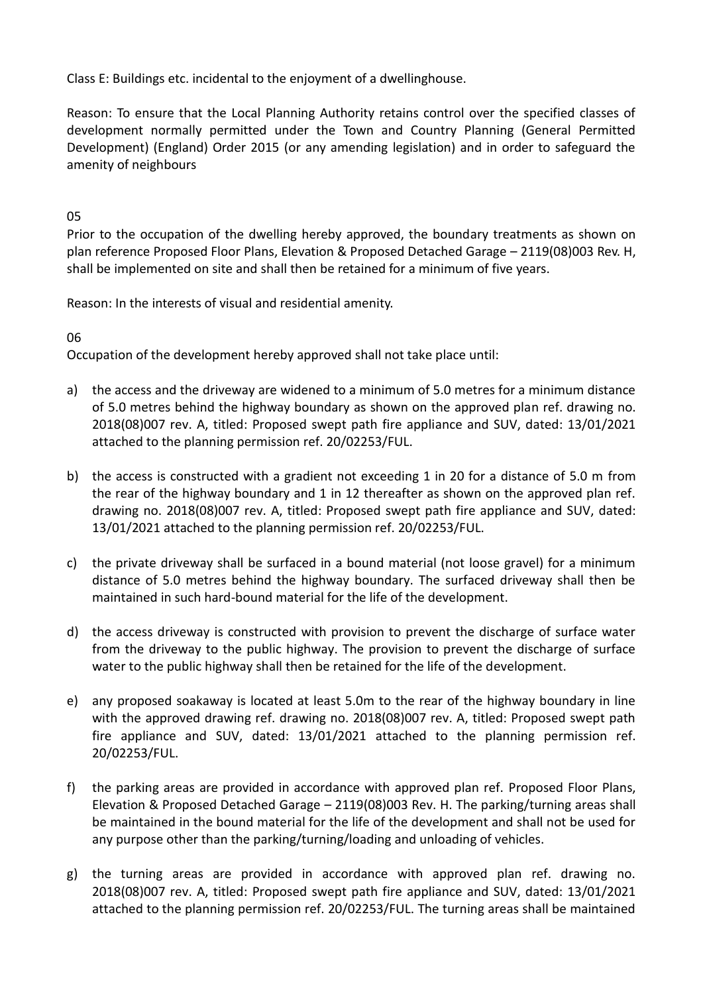Class E: Buildings etc. incidental to the enjoyment of a dwellinghouse.

Reason: To ensure that the Local Planning Authority retains control over the specified classes of development normally permitted under the Town and Country Planning (General Permitted Development) (England) Order 2015 (or any amending legislation) and in order to safeguard the amenity of neighbours

## 05

Prior to the occupation of the dwelling hereby approved, the boundary treatments as shown on plan reference Proposed Floor Plans, Elevation & Proposed Detached Garage – 2119(08)003 Rev. H, shall be implemented on site and shall then be retained for a minimum of five years.

Reason: In the interests of visual and residential amenity.

## 06

Occupation of the development hereby approved shall not take place until:

- a) the access and the driveway are widened to a minimum of 5.0 metres for a minimum distance of 5.0 metres behind the highway boundary as shown on the approved plan ref. drawing no. 2018(08)007 rev. A, titled: Proposed swept path fire appliance and SUV, dated: 13/01/2021 attached to the planning permission ref. 20/02253/FUL.
- b) the access is constructed with a gradient not exceeding 1 in 20 for a distance of 5.0 m from the rear of the highway boundary and 1 in 12 thereafter as shown on the approved plan ref. drawing no. 2018(08)007 rev. A, titled: Proposed swept path fire appliance and SUV, dated: 13/01/2021 attached to the planning permission ref. 20/02253/FUL.
- c) the private driveway shall be surfaced in a bound material (not loose gravel) for a minimum distance of 5.0 metres behind the highway boundary. The surfaced driveway shall then be maintained in such hard-bound material for the life of the development.
- d) the access driveway is constructed with provision to prevent the discharge of surface water from the driveway to the public highway. The provision to prevent the discharge of surface water to the public highway shall then be retained for the life of the development.
- e) any proposed soakaway is located at least 5.0m to the rear of the highway boundary in line with the approved drawing ref. drawing no. 2018(08)007 rev. A, titled: Proposed swept path fire appliance and SUV, dated: 13/01/2021 attached to the planning permission ref. 20/02253/FUL.
- f) the parking areas are provided in accordance with approved plan ref. Proposed Floor Plans, Elevation & Proposed Detached Garage – 2119(08)003 Rev. H. The parking/turning areas shall be maintained in the bound material for the life of the development and shall not be used for any purpose other than the parking/turning/loading and unloading of vehicles.
- g) the turning areas are provided in accordance with approved plan ref. drawing no. 2018(08)007 rev. A, titled: Proposed swept path fire appliance and SUV, dated: 13/01/2021 attached to the planning permission ref. 20/02253/FUL. The turning areas shall be maintained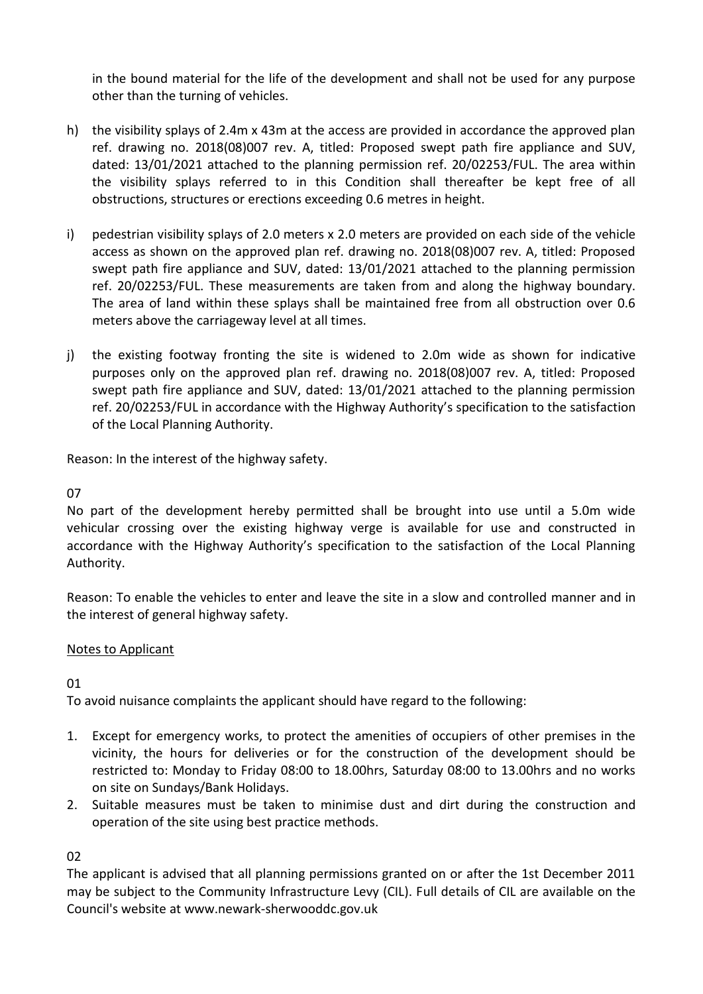in the bound material for the life of the development and shall not be used for any purpose other than the turning of vehicles.

- h) the visibility splays of 2.4m x 43m at the access are provided in accordance the approved plan ref. drawing no. 2018(08)007 rev. A, titled: Proposed swept path fire appliance and SUV, dated: 13/01/2021 attached to the planning permission ref. 20/02253/FUL. The area within the visibility splays referred to in this Condition shall thereafter be kept free of all obstructions, structures or erections exceeding 0.6 metres in height.
- i) pedestrian visibility splays of 2.0 meters x 2.0 meters are provided on each side of the vehicle access as shown on the approved plan ref. drawing no. 2018(08)007 rev. A, titled: Proposed swept path fire appliance and SUV, dated: 13/01/2021 attached to the planning permission ref. 20/02253/FUL. These measurements are taken from and along the highway boundary. The area of land within these splays shall be maintained free from all obstruction over 0.6 meters above the carriageway level at all times.
- j) the existing footway fronting the site is widened to 2.0m wide as shown for indicative purposes only on the approved plan ref. drawing no. 2018(08)007 rev. A, titled: Proposed swept path fire appliance and SUV, dated: 13/01/2021 attached to the planning permission ref. 20/02253/FUL in accordance with the Highway Authority's specification to the satisfaction of the Local Planning Authority.

Reason: In the interest of the highway safety.

## 07

No part of the development hereby permitted shall be brought into use until a 5.0m wide vehicular crossing over the existing highway verge is available for use and constructed in accordance with the Highway Authority's specification to the satisfaction of the Local Planning Authority.

Reason: To enable the vehicles to enter and leave the site in a slow and controlled manner and in the interest of general highway safety.

## Notes to Applicant

01

To avoid nuisance complaints the applicant should have regard to the following:

- 1. Except for emergency works, to protect the amenities of occupiers of other premises in the vicinity, the hours for deliveries or for the construction of the development should be restricted to: Monday to Friday 08:00 to 18.00hrs, Saturday 08:00 to 13.00hrs and no works on site on Sundays/Bank Holidays.
- 2. Suitable measures must be taken to minimise dust and dirt during the construction and operation of the site using best practice methods.

02

The applicant is advised that all planning permissions granted on or after the 1st December 2011 may be subject to the Community Infrastructure Levy (CIL). Full details of CIL are available on the Council's website at www.newark-sherwooddc.gov.uk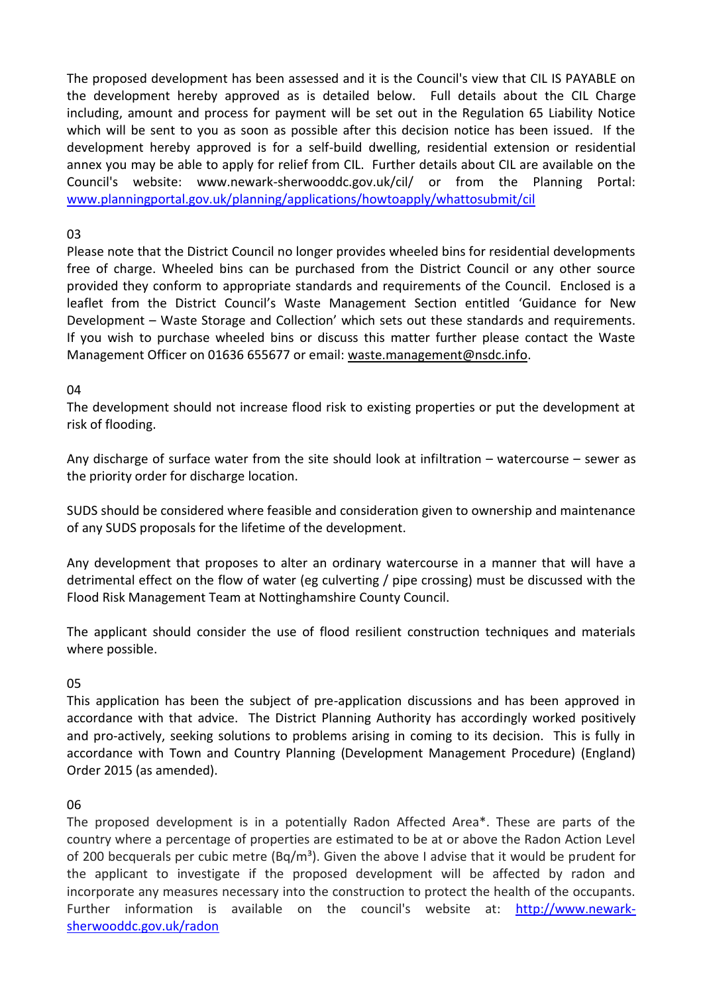The proposed development has been assessed and it is the Council's view that CIL IS PAYABLE on the development hereby approved as is detailed below. Full details about the CIL Charge including, amount and process for payment will be set out in the Regulation 65 Liability Notice which will be sent to you as soon as possible after this decision notice has been issued. If the development hereby approved is for a self-build dwelling, residential extension or residential annex you may be able to apply for relief from CIL. Further details about CIL are available on the Council's website: www.newark-sherwooddc.gov.uk/cil/ or from the Planning Portal: [www.planningportal.gov.uk/planning/applications/howtoapply/whattosubmit/cil](http://www.planningportal.gov.uk/planning/applications/howtoapply/whattosubmit/cil)

## 03

Please note that the District Council no longer provides wheeled bins for residential developments free of charge. Wheeled bins can be purchased from the District Council or any other source provided they conform to appropriate standards and requirements of the Council. Enclosed is a leaflet from the District Council's Waste Management Section entitled 'Guidance for New Development – Waste Storage and Collection' which sets out these standards and requirements. If you wish to purchase wheeled bins or discuss this matter further please contact the Waste Management Officer on 01636 655677 or email: [waste.management@nsdc.info.](mailto:waste.management@nsdc.info)

### 04

The development should not increase flood risk to existing properties or put the development at risk of flooding.

Any discharge of surface water from the site should look at infiltration – watercourse – sewer as the priority order for discharge location.

SUDS should be considered where feasible and consideration given to ownership and maintenance of any SUDS proposals for the lifetime of the development.

Any development that proposes to alter an ordinary watercourse in a manner that will have a detrimental effect on the flow of water (eg culverting / pipe crossing) must be discussed with the Flood Risk Management Team at Nottinghamshire County Council.

The applicant should consider the use of flood resilient construction techniques and materials where possible.

#### 05

This application has been the subject of pre-application discussions and has been approved in accordance with that advice. The District Planning Authority has accordingly worked positively and pro-actively, seeking solutions to problems arising in coming to its decision. This is fully in accordance with Town and Country Planning (Development Management Procedure) (England) Order 2015 (as amended).

#### 06

The proposed development is in a potentially Radon Affected Area\*. These are parts of the country where a percentage of properties are estimated to be at or above the Radon Action Level of 200 becquerals per cubic metre  $(Bq/m<sup>3</sup>)$ . Given the above I advise that it would be prudent for the applicant to investigate if the proposed development will be affected by radon and incorporate any measures necessary into the construction to protect the health of the occupants. Further information is available on the council's website at: [http://www.newark](http://www.newark-sherwooddc.gov.uk/radon)[sherwooddc.gov.uk/radon](http://www.newark-sherwooddc.gov.uk/radon)